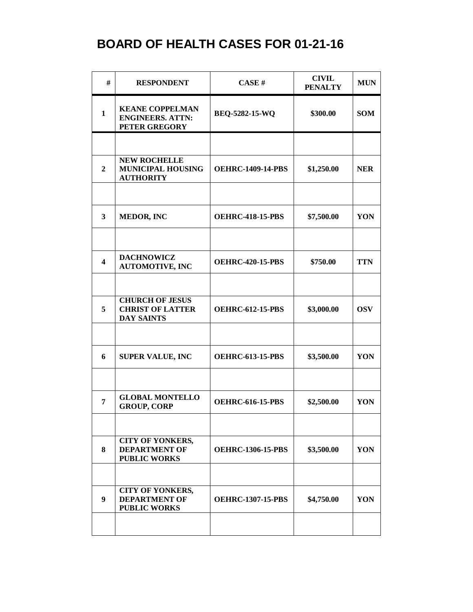| #                       | <b>RESPONDENT</b>                                                      | CASE#                    | <b>CIVIL</b><br><b>PENALTY</b> | <b>MUN</b> |
|-------------------------|------------------------------------------------------------------------|--------------------------|--------------------------------|------------|
| $\mathbf{1}$            | <b>KEANE COPPELMAN</b><br><b>ENGINEERS. ATTN:</b><br>PETER GREGORY     | BEQ-5282-15-WQ           | \$300.00                       | <b>SOM</b> |
|                         |                                                                        |                          |                                |            |
| $\overline{2}$          | <b>NEW ROCHELLE</b><br><b>MUNICIPAL HOUSING</b><br><b>AUTHORITY</b>    | <b>OEHRC-1409-14-PBS</b> | \$1,250.00                     | <b>NER</b> |
|                         |                                                                        |                          |                                |            |
| $\mathbf{3}$            | <b>MEDOR, INC</b>                                                      | <b>OEHRC-418-15-PBS</b>  | \$7,500.00                     | YON        |
|                         |                                                                        |                          |                                |            |
| $\overline{\mathbf{4}}$ | <b>DACHNOWICZ</b><br><b>AUTOMOTIVE, INC</b>                            | <b>OEHRC-420-15-PBS</b>  | \$750.00                       | <b>TTN</b> |
|                         |                                                                        |                          |                                |            |
| 5                       | <b>CHURCH OF JESUS</b><br><b>CHRIST OF LATTER</b><br><b>DAY SAINTS</b> | <b>OEHRC-612-15-PBS</b>  | \$3,000.00                     | <b>OSV</b> |
|                         |                                                                        |                          |                                |            |
| 6                       | <b>SUPER VALUE, INC</b>                                                | <b>OEHRC-613-15-PBS</b>  | \$3,500.00                     | YON        |
|                         |                                                                        |                          |                                |            |
| $\overline{7}$          | <b>GLOBAL MONTELLO</b><br><b>GROUP, CORP</b>                           | <b>OEHRC-616-15-PBS</b>  | \$2,500.00                     | YON        |
|                         |                                                                        |                          |                                |            |
| 8                       | <b>CITY OF YONKERS,</b><br><b>DEPARTMENT OF</b><br><b>PUBLIC WORKS</b> | <b>OEHRC-1306-15-PBS</b> | \$3,500.00                     | YON        |
|                         |                                                                        |                          |                                |            |
| 9                       | <b>CITY OF YONKERS,</b><br><b>DEPARTMENT OF</b><br><b>PUBLIC WORKS</b> | <b>OEHRC-1307-15-PBS</b> | \$4,750.00                     | YON        |
|                         |                                                                        |                          |                                |            |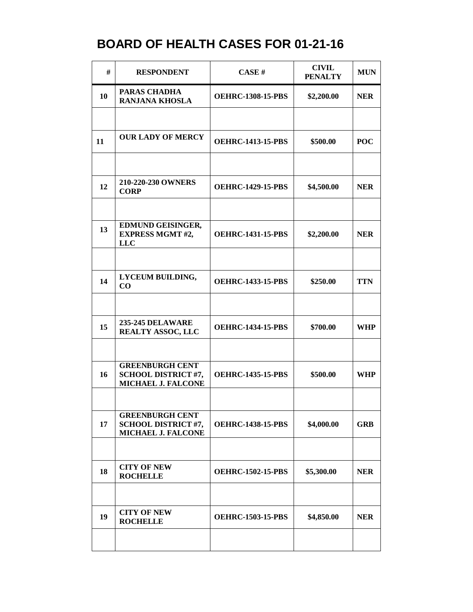| #  | <b>RESPONDENT</b>                                                          | CASE#                    | <b>CIVIL</b><br><b>PENALTY</b> | <b>MUN</b> |
|----|----------------------------------------------------------------------------|--------------------------|--------------------------------|------------|
| 10 | <b>PARAS CHADHA</b><br><b>RANJANA KHOSLA</b>                               | <b>OEHRC-1308-15-PBS</b> | \$2,200.00                     | <b>NER</b> |
|    |                                                                            |                          |                                |            |
| 11 | <b>OUR LADY OF MERCY</b>                                                   | <b>OEHRC-1413-15-PBS</b> | \$500.00                       | <b>POC</b> |
|    |                                                                            |                          |                                |            |
| 12 | 210-220-230 OWNERS<br><b>CORP</b>                                          | <b>OEHRC-1429-15-PBS</b> | \$4,500.00                     | <b>NER</b> |
|    |                                                                            |                          |                                |            |
| 13 | EDMUND GEISINGER,<br><b>EXPRESS MGMT #2,</b><br><b>LLC</b>                 | <b>OEHRC-1431-15-PBS</b> | \$2,200.00                     | <b>NER</b> |
|    |                                                                            |                          |                                |            |
| 14 | LYCEUM BUILDING,<br>CO                                                     | <b>OEHRC-1433-15-PBS</b> | \$250.00                       | <b>TTN</b> |
|    |                                                                            |                          |                                |            |
| 15 | <b>235-245 DELAWARE</b><br><b>REALTY ASSOC, LLC</b>                        | <b>OEHRC-1434-15-PBS</b> | \$700.00                       | <b>WHP</b> |
|    |                                                                            |                          |                                |            |
| 16 | <b>GREENBURGH CENT</b><br><b>SCHOOL DISTRICT #7,</b><br>MICHAEL J. FALCONE | <b>OEHRC-1435-15-PBS</b> | \$500.00                       | <b>WHP</b> |
|    |                                                                            |                          |                                |            |
| 17 | <b>GREENBURGH CENT</b><br><b>SCHOOL DISTRICT #7,</b><br>MICHAEL J. FALCONE | <b>OEHRC-1438-15-PBS</b> | \$4,000.00                     | <b>GRB</b> |
|    |                                                                            |                          |                                |            |
| 18 | <b>CITY OF NEW</b><br><b>ROCHELLE</b>                                      | <b>OEHRC-1502-15-PBS</b> | \$5,300.00                     | <b>NER</b> |
|    |                                                                            |                          |                                |            |
| 19 | <b>CITY OF NEW</b><br><b>ROCHELLE</b>                                      | <b>OEHRC-1503-15-PBS</b> | \$4,850.00                     | <b>NER</b> |
|    |                                                                            |                          |                                |            |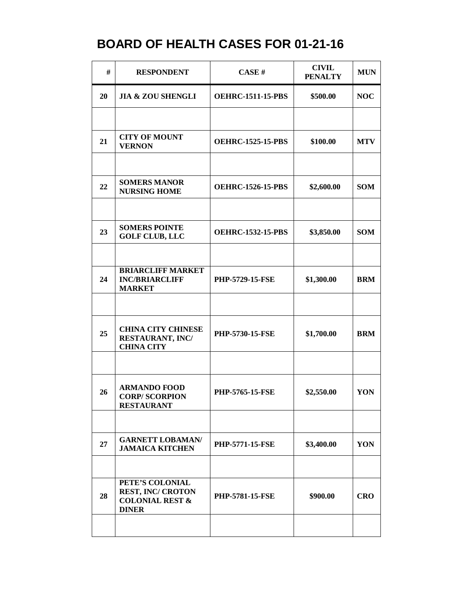| #  | <b>RESPONDENT</b>                                                                         | CASE#                    | <b>CIVIL</b><br><b>PENALTY</b> | <b>MUN</b> |
|----|-------------------------------------------------------------------------------------------|--------------------------|--------------------------------|------------|
| 20 | <b>JIA &amp; ZOU SHENGLI</b>                                                              | <b>OEHRC-1511-15-PBS</b> | \$500.00                       | <b>NOC</b> |
|    |                                                                                           |                          |                                |            |
| 21 | <b>CITY OF MOUNT</b><br><b>VERNON</b>                                                     | <b>OEHRC-1525-15-PBS</b> | \$100.00                       | <b>MTV</b> |
|    |                                                                                           |                          |                                |            |
| 22 | <b>SOMERS MANOR</b><br><b>NURSING HOME</b>                                                | <b>OEHRC-1526-15-PBS</b> | \$2,600.00                     | <b>SOM</b> |
|    |                                                                                           |                          |                                |            |
| 23 | <b>SOMERS POINTE</b><br><b>GOLF CLUB, LLC</b>                                             | <b>OEHRC-1532-15-PBS</b> | \$3,850.00                     | <b>SOM</b> |
|    |                                                                                           |                          |                                |            |
| 24 | <b>BRIARCLIFF MARKET</b><br><b>INC/BRIARCLIFF</b><br><b>MARKET</b>                        | <b>PHP-5729-15-FSE</b>   | \$1,300.00                     | <b>BRM</b> |
|    |                                                                                           |                          |                                |            |
| 25 | <b>CHINA CITY CHINESE</b><br>RESTAURANT, INC/<br><b>CHINA CITY</b>                        | PHP-5730-15-FSE          | \$1,700.00                     | <b>BRM</b> |
|    |                                                                                           |                          |                                |            |
| 26 | <b>ARMANDO FOOD</b><br><b>CORP/SCORPION</b><br>RESTAURANT                                 | <b>PHP-5765-15-FSE</b>   | \$2,550.00                     | YON        |
|    |                                                                                           |                          |                                |            |
| 27 | <b>GARNETT LOBAMAN/</b><br><b>JAMAICA KITCHEN</b>                                         | <b>PHP-5771-15-FSE</b>   | \$3,400.00                     | YON        |
|    |                                                                                           |                          |                                |            |
| 28 | PETE'S COLONIAL<br><b>REST, INC/ CROTON</b><br><b>COLONIAL REST &amp;</b><br><b>DINER</b> | <b>PHP-5781-15-FSE</b>   | \$900.00                       | <b>CRO</b> |
|    |                                                                                           |                          |                                |            |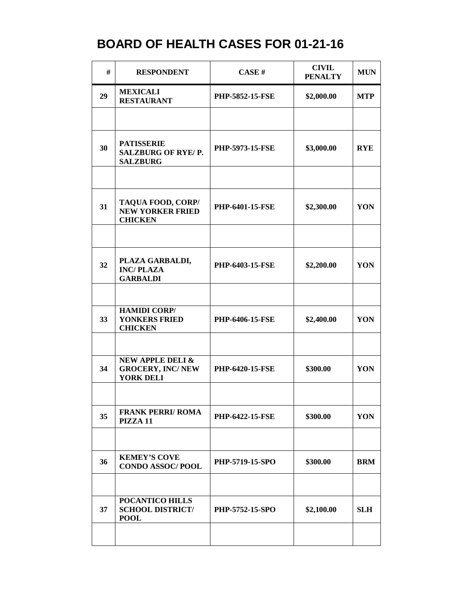| #  | <b>RESPONDENT</b>                                                          | CASE#                  | <b>CIVIL</b><br><b>PENALTY</b> | <b>MUN</b> |
|----|----------------------------------------------------------------------------|------------------------|--------------------------------|------------|
| 29 | <b>MEXICALI</b><br><b>RESTAURANT</b>                                       | <b>PHP-5852-15-FSE</b> | \$2,000.00                     | <b>MTP</b> |
|    |                                                                            |                        |                                |            |
| 30 | <b>PATISSERIE</b><br>SALZBURG OF RYE/P.<br><b>SALZBURG</b>                 | <b>PHP-5973-15-FSE</b> | \$3,000.00                     | <b>RYE</b> |
|    |                                                                            |                        |                                |            |
| 31 | TAQUA FOOD, CORP/<br><b>NEW YORKER FRIED</b><br><b>CHICKEN</b>             | <b>PHP-6401-15-FSE</b> | \$2,300.00                     | YON        |
|    |                                                                            |                        |                                |            |
| 32 | PLAZA GARBALDI,<br><b>INC/PLAZA</b><br><b>GARBALDI</b>                     | <b>PHP-6403-15-FSE</b> | \$2,200.00                     | YON        |
|    |                                                                            |                        |                                |            |
| 33 | <b>HAMIDI CORP/</b><br>YONKERS FRIED<br><b>CHICKEN</b>                     | <b>PHP-6406-15-FSE</b> | \$2,400.00                     | YON        |
|    |                                                                            |                        |                                |            |
| 34 | <b>NEW APPLE DELI &amp;</b><br><b>GROCERY, INC/NEW</b><br><b>YORK DELI</b> | <b>PHP-6420-15-FSE</b> | \$300.00                       | YON        |
|    |                                                                            |                        |                                |            |
| 35 | <b>FRANK PERRI/ ROMA</b><br>PIZZA 11                                       | <b>PHP-6422-15-FSE</b> | \$300.00                       | YON        |
|    |                                                                            |                        |                                |            |
| 36 | <b>KEMEY'S COVE</b><br><b>CONDO ASSOC/POOL</b>                             | PHP-5719-15-SPO        | \$300.00                       | <b>BRM</b> |
|    |                                                                            |                        |                                |            |
| 37 | POCANTICO HILLS<br><b>SCHOOL DISTRICT/</b><br><b>POOL</b>                  | PHP-5752-15-SPO        | \$2,100.00                     | <b>SLH</b> |
|    |                                                                            |                        |                                |            |